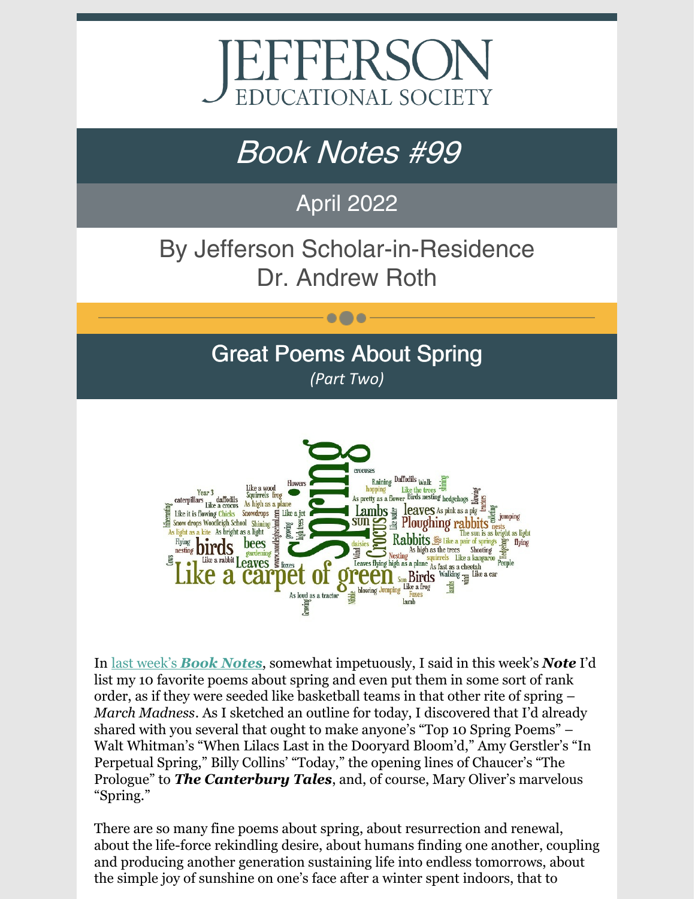

# Book Notes #99

## April 2022

# By Jefferson Scholar-in-Residence Dr. Andrew Roth

### Great Poems About Spring *(Part Two)*

 $\bullet\bullet\bullet$ 



In last [week's](https://www.jeserie.org/uploads/Book Notes 98 Great Poems About Spring Part One.pdf) *Book [Notes](https://www.jeserie.org/uploads/Book Notes 98 Great Poems About Spring Part One.pdf)*, somewhat impetuously, I said in this week's *Note* I'd list my 10 favorite poems about spring and even put them in some sort of rank order, as if they were seeded like basketball teams in that other rite of spring – *March Madness*. As I sketched an outline for today, I discovered that I'd already shared with you several that ought to make anyone's "Top 10 Spring Poems" – Walt Whitman's "When Lilacs Last in the Dooryard Bloom'd," Amy Gerstler's "In Perpetual Spring," Billy Collins' "Today," the opening lines of Chaucer's "The Prologue" to *The Canterbury Tales*, and, of course, Mary Oliver's marvelous "Spring."

There are so many fine poems about spring, about resurrection and renewal, about the life-force rekindling desire, about humans finding one another, coupling and producing another generation sustaining life into endless tomorrows, about the simple joy of sunshine on one's face after a winter spent indoors, that to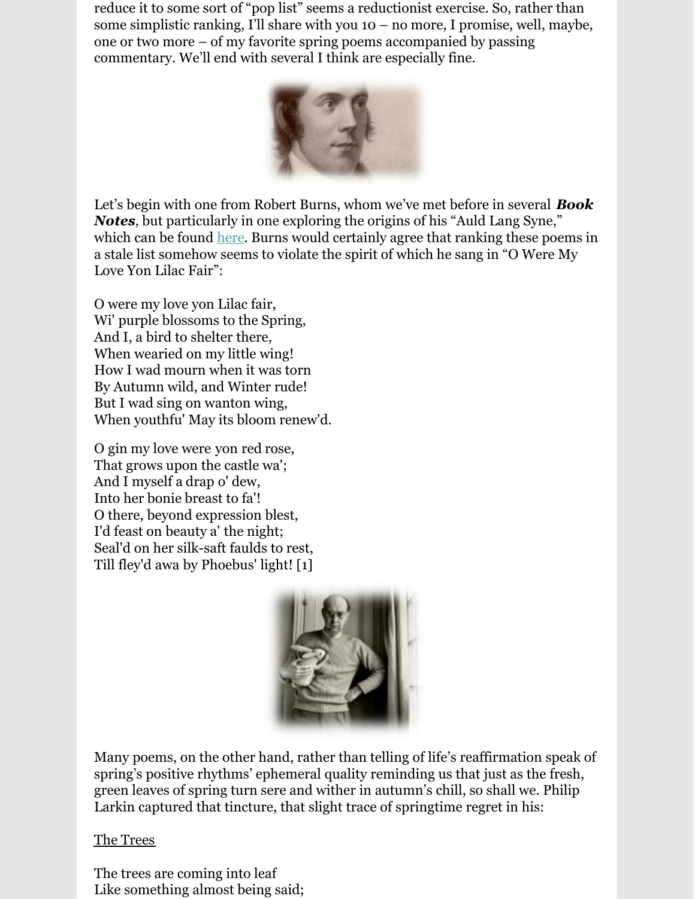reduce it to some sort of "pop list" seems a reductionist exercise. So, rather than some simplistic ranking, I'll share with you  $10 - no$  more, I promise, well, maybe, one or two more – of my favorite spring poems accompanied by passing commentary. We'll end with several I think are especially fine.



Let's begin with one from Robert Burns, whom we've met before in several *Book Notes*, but particularly in one exploring the origins of his "Auld Lang Syne," which can be found [here](https://www.jeserie.org/uploads/Re-Run - Book Notes Should Auld Acquaintance Be Forgot And Auld Lang Syne.pdf). Burns would certainly agree that ranking these poems in a stale list somehow seems to violate the spirit of which he sang in "O Were My Love Yon Lilac Fair":

O were my love yon Lilac fair, [Wi'](http://www.robertburns.org/works/glossary/1859.html) purple blossoms to the Spring, And I, a bird to shelter there, When wearied on my little wing! How I wad mourn when it was torn By Autumn wild, and Winter rude! [But](http://www.robertburns.org/works/glossary/288.html) I [wad](http://www.robertburns.org/works/glossary/1771.html) sing on wanton wing, When youthfu' May its bloom renew'd.

O [gin](http://www.robertburns.org/works/glossary/778.html) my love were [yon](http://www.robertburns.org/works/glossary/1916.html) [red](http://www.robertburns.org/works/glossary/1330.html) rose, That grows upon the castle wa'; And I myself a [drap](http://www.robertburns.org/works/glossary/556.html) [o'](http://www.robertburns.org/works/glossary/1208.html) dew, Into her [bonie](http://www.robertburns.org/works/glossary/210.html) breast to fa'! O there, beyond expression blest, I'd feast on beauty [a'](http://www.robertburns.org/works/glossary/4.html) the night; Seal'd on her silk-saft faulds to rest, [Till](http://www.robertburns.org/works/glossary/1695.html) fley'd [awa](http://www.robertburns.org/works/glossary/68.html) [by](http://www.robertburns.org/works/glossary/291.html) Phoebus' light! [1]



Many poems, on the other hand, rather than telling of life's reaffirmation speak of spring's positive rhythms' ephemeral quality reminding us that just as the fresh, green leaves of spring turn sere and wither in autumn's chill, so shall we. Philip Larkin captured that tincture, that slight trace of springtime regret in his:

The Trees

The trees are coming into leaf Like something almost being said;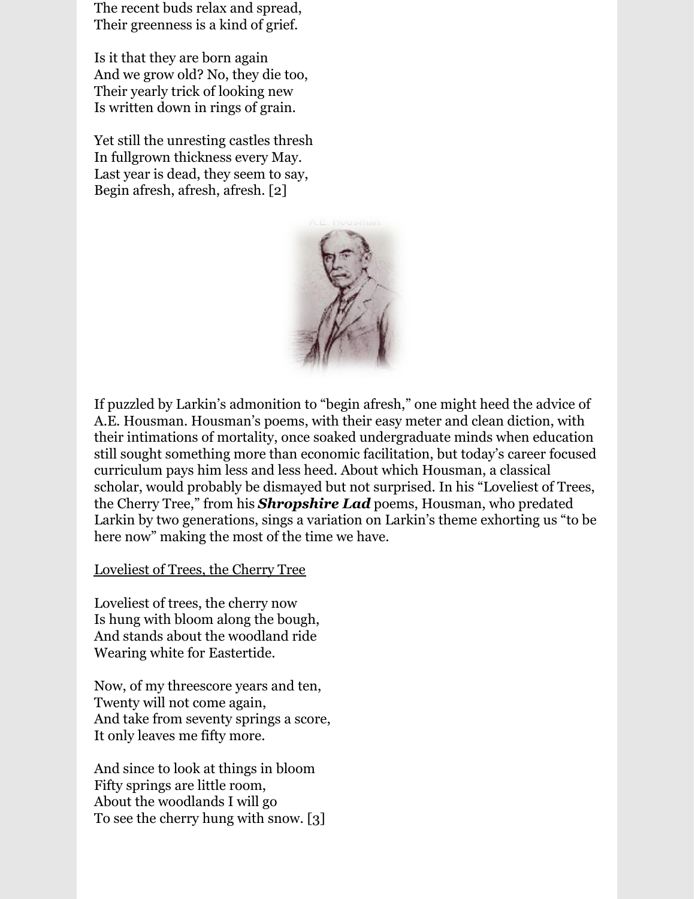The recent buds relax and spread, Their greenness is a kind of grief.

Is it that they are born again And we grow old? No, they die too, Their yearly trick of looking new Is written down in rings of grain.

Yet still the unresting castles thresh In fullgrown thickness every May. Last year is dead, they seem to say, Begin afresh, afresh, afresh. [2]



If puzzled by Larkin's admonition to "begin afresh," one might heed the advice of A.E. Housman. Housman's poems, with their easy meter and clean diction, with their intimations of mortality, once soaked undergraduate minds when education still sought something more than economic facilitation, but today's career focused curriculum pays him less and less heed. About which Housman, a classical scholar, would probably be dismayed but not surprised. In his "Loveliest of Trees, the Cherry Tree," from his *Shropshire Lad* poems, Housman, who predated Larkin by two generations, sings a variation on Larkin's theme exhorting us "to be here now" making the most of the time we have.

Loveliest of Trees, the Cherry Tree

Loveliest of trees, the cherry now Is hung with bloom along the bough, And stands about the woodland ride Wearing white for Eastertide.

Now, of my threescore years and ten, Twenty will not come again, And take from seventy springs a score, It only leaves me fifty more.

And since to look at things in bloom Fifty springs are little room, About the woodlands I will go To see the cherry hung with snow. [3]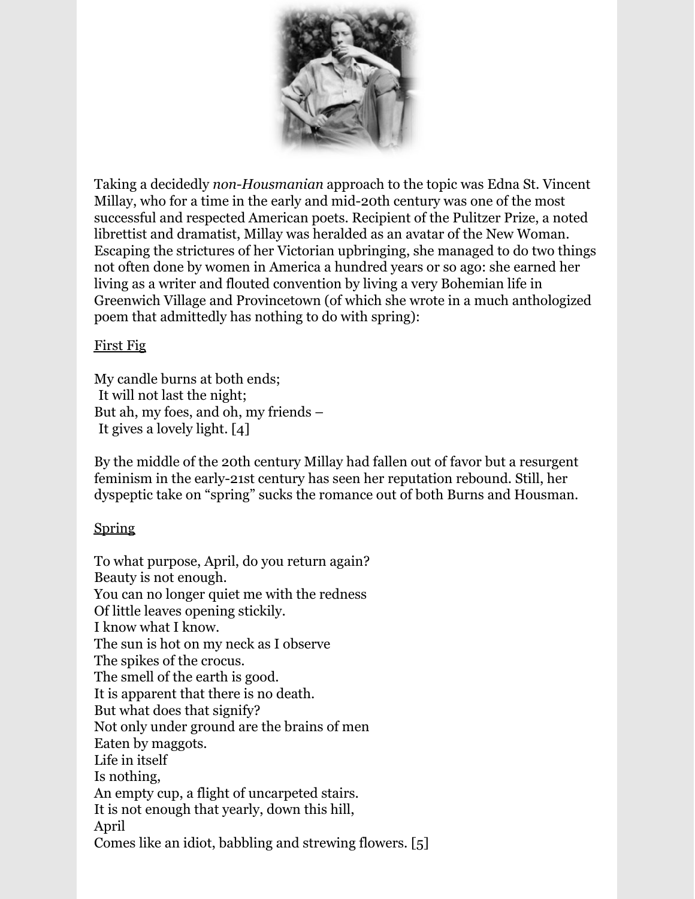

Taking a decidedly *non-Housmanian* approach to the topic was Edna St. Vincent Millay, who for a time in the early and mid-20th century was one of the most successful and respected American poets. Recipient of the Pulitzer Prize, a noted librettist and dramatist, Millay was heralded as an avatar of the New Woman. Escaping the strictures of her Victorian upbringing, she managed to do two things not often done by women in America a hundred years or so ago: she earned her living as a writer and flouted convention by living a very Bohemian life in Greenwich Village and Provincetown (of which she wrote in a much anthologized poem that admittedly has nothing to do with spring):

#### First Fig

My candle burns at both ends; lIt will not last the night; But ah, my foes, and oh, my friends – lIt gives a lovely light. [4]

By the middle of the 20th century Millay had fallen out of favor but a resurgent feminism in the early-21st century has seen her reputation rebound. Still, her dyspeptic take on "spring" sucks the romance out of both Burns and Housman.

### Spring

To what purpose, April, do you return again? Beauty is not enough. You can no longer quiet me with the redness Of little leaves opening stickily. I know what I know. The sun is hot on my neck as I observe The spikes of the crocus. The smell of the earth is good. It is apparent that there is no death. But what does that signify? Not only under ground are the brains of men Eaten by maggots. Life in itself Is nothing, An empty cup, a flight of uncarpeted stairs. It is not enough that yearly, down this hill, April Comes like an idiot, babbling and strewing flowers. [5]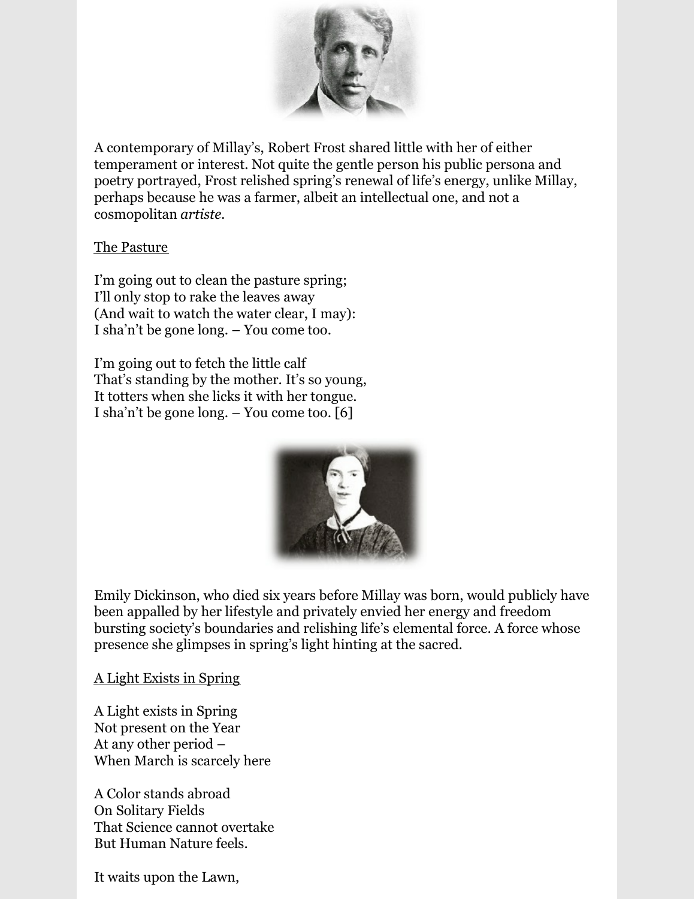

A contemporary of Millay's, Robert Frost shared little with her of either temperament or interest. Not quite the gentle person his public persona and poetry portrayed, Frost relished spring's renewal of life's energy, unlike Millay, perhaps because he was a farmer, albeit an intellectual one, and not a cosmopolitan *artiste.*

#### The Pasture

I'm going out to clean the pasture spring; I'll only stop to rake the leaves away (And wait to watch the water clear, I may): I sha'n't be gone long. – You come too.

I'm going out to fetch the little calf That's standing by the mother. It's so young, It totters when she licks it with her tongue. I sha'n't be gone long. – You come too. [6]



Emily Dickinson, who died six years before Millay was born, would publicly have been appalled by her lifestyle and privately envied her energy and freedom bursting society's boundaries and relishing life's elemental force. A force whose presence she glimpses in spring's light hinting at the sacred.

#### A Light Exists in Spring

A Light exists in Spring Not present on the Year At any other period – When March is scarcely here

A Color stands abroad On Solitary Fields That Science cannot overtake But Human Nature feels.

It waits upon the Lawn,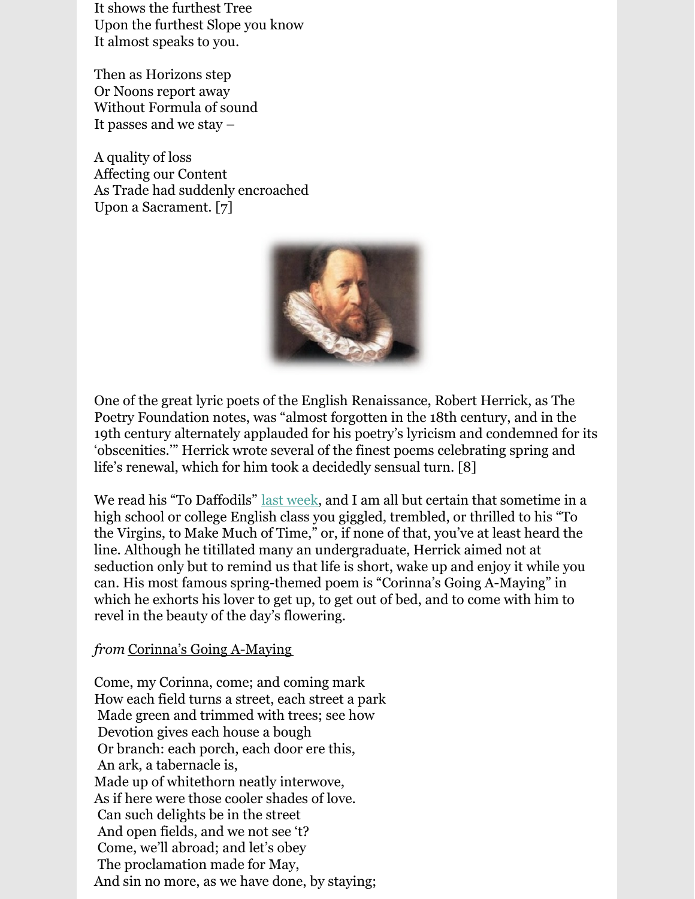It shows the furthest Tree Upon the furthest Slope you know It almost speaks to you.

Then as Horizons step Or Noons report away Without Formula of sound It passes and we stay –

A quality of loss Affecting our Content As Trade had suddenly encroached Upon a Sacrament. [7]



One of the great lyric poets of the English Renaissance, Robert Herrick, as The Poetry Foundation notes, was "almost forgotten in the 18th century, and in the 19th century alternately applauded for his poetry's lyricism and condemned for its 'obscenities.'" Herrick wrote several of the finest poems celebrating spring and life's renewal, which for him took a decidedly sensual turn. [8]

We read his "To Daffodils" last [week](https://www.jeserie.org/uploads/Book Notes 98 Great Poems About Spring Part One.pdf), and I am all but certain that sometime in a high school or college English class you giggled, trembled, or thrilled to his "To the Virgins, to Make Much of Time," or, if none of that, you've at least heard the line. Although he titillated many an undergraduate, Herrick aimed not at seduction only but to remind us that life is short, wake up and enjoy it while you can. His most famous spring-themed poem is "Corinna's Going A-Maying" in which he exhorts his lover to get up, to get out of bed, and to come with him to revel in the beauty of the day's flowering.

#### *from* Corinna's Going A-Maying

Come, my Corinna, come; and coming mark How each field turns a street, each street a park Made green and trimmed with trees; see how Devotion gives each house a bough Or branch: each porch, each door ere this, An ark, a tabernacle is, Made up of whitethorn neatly interwove, As if here were those cooler shades of love. Can such delights be in the street And open fields, and we not see 't? Come, we'll abroad; and let's obey The proclamation made for May, And sin no more, as we have done, by staying;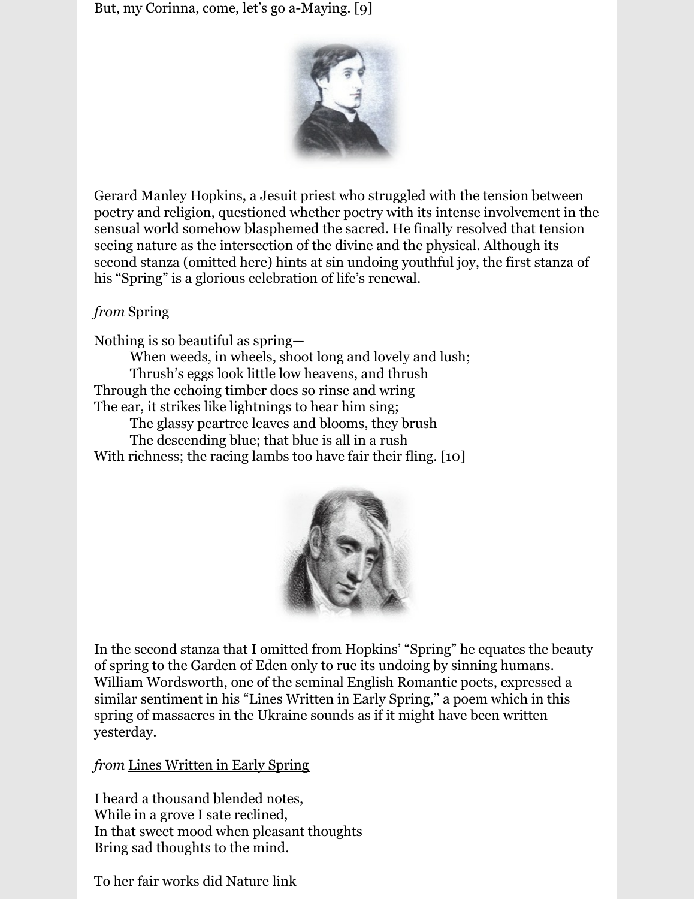But, my Corinna, come, let's go a-Maying. [9]



Gerard Manley Hopkins, a Jesuit priest who struggled with the tension between poetry and religion, questioned whether poetry with its intense involvement in the sensual world somehow blasphemed the sacred. He finally resolved that tension seeing nature as the intersection of the divine and the physical. Although its second stanza (omitted here) hints at sin undoing youthful joy, the first stanza of his "Spring" is a glorious celebration of life's renewal.

#### *from* Spring

Nothing is so beautiful as spring—

When weeds, in wheels, shoot long and lovely and lush; Thrush's eggs look little low heavens, and thrush Through the echoing timber does so rinse and wring The ear, it strikes like lightnings to hear him sing;

The glassy peartree leaves and blooms, they brush

The descending blue; that blue is all in a rush With richness; the racing lambs too have fair their fling. [10]



In the second stanza that I omitted from Hopkins' "Spring" he equates the beauty of spring to the Garden of Eden only to rue its undoing by sinning humans. William Wordsworth, one of the seminal English Romantic poets, expressed a similar sentiment in his "Lines Written in Early Spring," a poem which in this spring of massacres in the Ukraine sounds as if it might have been written yesterday.

### *from* Lines Written in Early Spring

I heard a thousand blended notes, While in a grove I sate reclined, In that sweet mood when pleasant thoughts Bring sad thoughts to the mind.

To her fair works did Nature link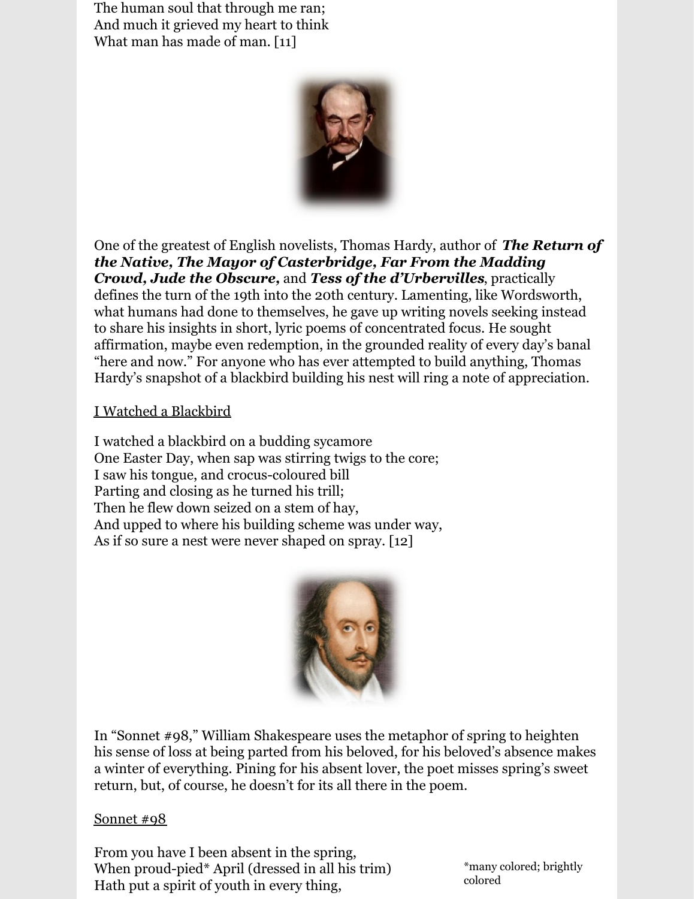The human soul that through me ran; And much it grieved my heart to think What man has made of man. [11]



One of the greatest of English novelists, Thomas Hardy, author of *The Return of the Native, The Mayor of Casterbridge, Far From the Madding Crowd, Jude the Obscure,* and *Tess of the d'Urbervilles*, practically defines the turn of the 19th into the 20th century. Lamenting, like Wordsworth, what humans had done to themselves, he gave up writing novels seeking instead to share his insights in short, lyric poems of concentrated focus. He sought affirmation, maybe even redemption, in the grounded reality of every day's banal "here and now." For anyone who has ever attempted to build anything, Thomas Hardy's snapshot of a blackbird building his nest will ring a note of appreciation.

#### I Watched a Blackbird

I watched a blackbird on a budding sycamore One Easter Day, when sap was stirring twigs to the core; I saw his tongue, and crocus-coloured bill Parting and closing as he turned his trill; Then he flew down seized on a stem of hay, And upped to where his building scheme was under way, As if so sure a nest were never shaped on spray. [12]



In "Sonnet #98," William Shakespeare uses the metaphor of spring to heighten his sense of loss at being parted from his beloved, for his beloved's absence makes a winter of everything. Pining for his absent lover, the poet misses spring's sweet return, but, of course, he doesn't for its all there in the poem.

#### Sonnet #98

From you have I been absent in the spring, When proud-pied\* April (dressed in all his trim) Hath put a spirit of youth in every thing,

\*many colored; brightly colored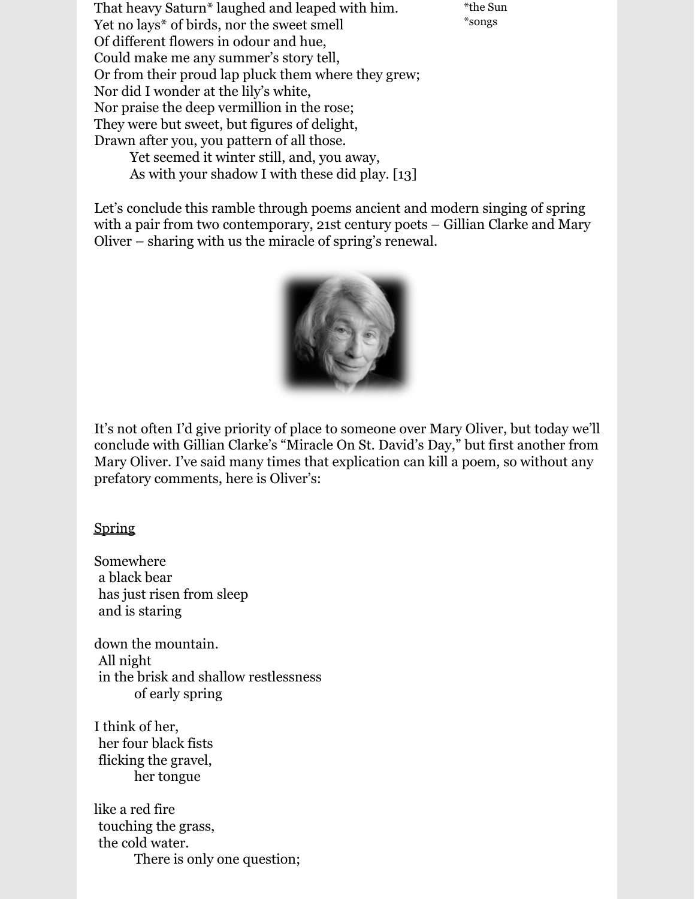That heavy Saturn\* laughed and leaped with him. Yet no lays\* of birds, nor the sweet smell Of different flowers in odour and hue, Could make me any summer's story tell, Or from their proud lap pluck them where they grew; Nor did I wonder at the lily's white, Nor praise the deep vermillion in the rose; They were but sweet, but figures of delight, Drawn after you, you pattern of all those. Yet seemed it winter still, and, you away, As with your shadow I with these did play. [13]

\*the Sun \*songs

Let's conclude this ramble through poems ancient and modern singing of spring with a pair from two contemporary, 21st century poets – Gillian Clarke and Mary Oliver – sharing with us the miracle of spring's renewal.



It's not often I'd give priority of place to someone over Mary Oliver, but today we'll conclude with Gillian Clarke's "Miracle On St. David's Day," but first another from Mary Oliver. I've said many times that explication can kill a poem, so without any prefatory comments, here is Oliver's:

Spring

Somewhere la black bear has just risen from sleep and is staring

down the mountain. lAll night in the brisk and shallow restlessness of early spring

I think of her, lher four black fists flicking the gravel, her tongue

like a red fire touching the grass, the cold water. There is only one question;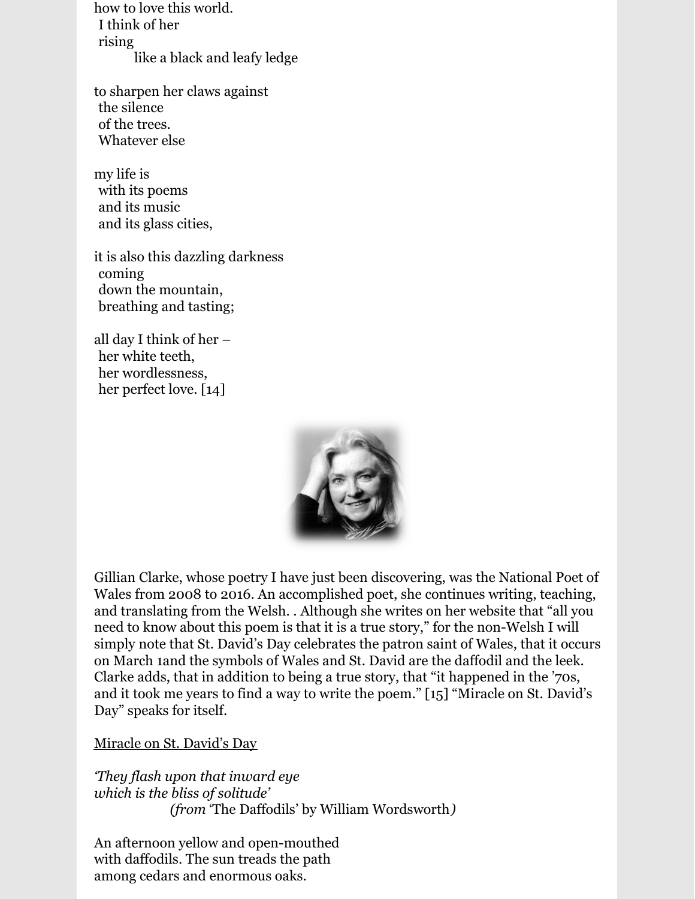how to love this world. lI think of her rising like a black and leafy ledge

to sharpen her claws against the silence of the trees. Whatever else

my life is with its poems and its music and its glass cities,

it is also this dazzling darkness coming down the mountain. lbreathing and tasting;

all day I think of her – her white teeth, her wordlessness, her perfect love. [14]



Gillian Clarke, whose poetry I have just been discovering, was the National Poet of Wales from 2008 to 2016. An accomplished poet, she continues writing, teaching, and translating from the Welsh. . Although she writes on her website that "all you need to know about this poem is that it is a true story," for the non-Welsh I will simply note that St. David's Day celebrates the patron saint of Wales, that it occurs on March 1and the symbols of Wales and St. David are the daffodil and the leek. Clarke adds, that in addition to being a true story, that "it happened in the '70s, and it took me years to find a way to write the poem." [15] "Miracle on St. David's Day" speaks for itself.

Miracle on St. David's Day

*'They flash upon that inward eye which is the bliss of solitude' (from 'The Daffodils' by William Wordsworth)* 

An afternoon yellow and open-mouthed with daffodils. The sun treads the path among cedars and enormous oaks.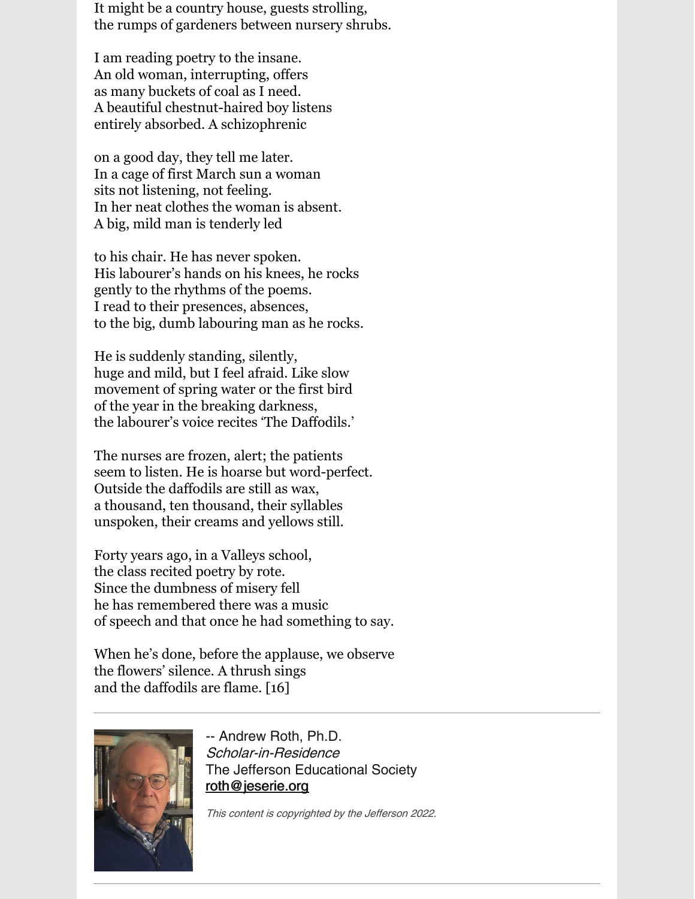It might be a country house, guests strolling, the rumps of gardeners between nursery shrubs.

I am reading poetry to the insane. An old woman, interrupting, offers as many buckets of coal as I need. A beautiful chestnut-haired boy listens entirely absorbed. A schizophrenic

on a good day, they tell me later. In a cage of first March sun a woman sits not listening, not feeling. In her neat clothes the woman is absent. A big, mild man is tenderly led

to his chair. He has never spoken. His labourer's hands on his knees, he rocks gently to the rhythms of the poems. I read to their presences, absences, to the big, dumb labouring man as he rocks.

He is suddenly standing, silently, huge and mild, but I feel afraid. Like slow movement of spring water or the first bird of the year in the breaking darkness, the labourer's voice recites 'The Daffodils.'

The nurses are frozen, alert; the patients seem to listen. He is hoarse but word-perfect. Outside the daffodils are still as wax, a thousand, ten thousand, their syllables unspoken, their creams and yellows still.

Forty years ago, in a Valleys school, the class recited poetry by rote. Since the dumbness of misery fell he has remembered there was a music of speech and that once he had something to say.

When he's done, before the applause, we observe the flowers' silence. A thrush sings and the daffodils are flame. [16]



-- Andrew Roth, Ph.D. Scholar-in-Residence The Jefferson Educational Society [roth@jeserie.org](mailto:roth@jeserie.org)

This content is copyrighted by the Jefferson 2022.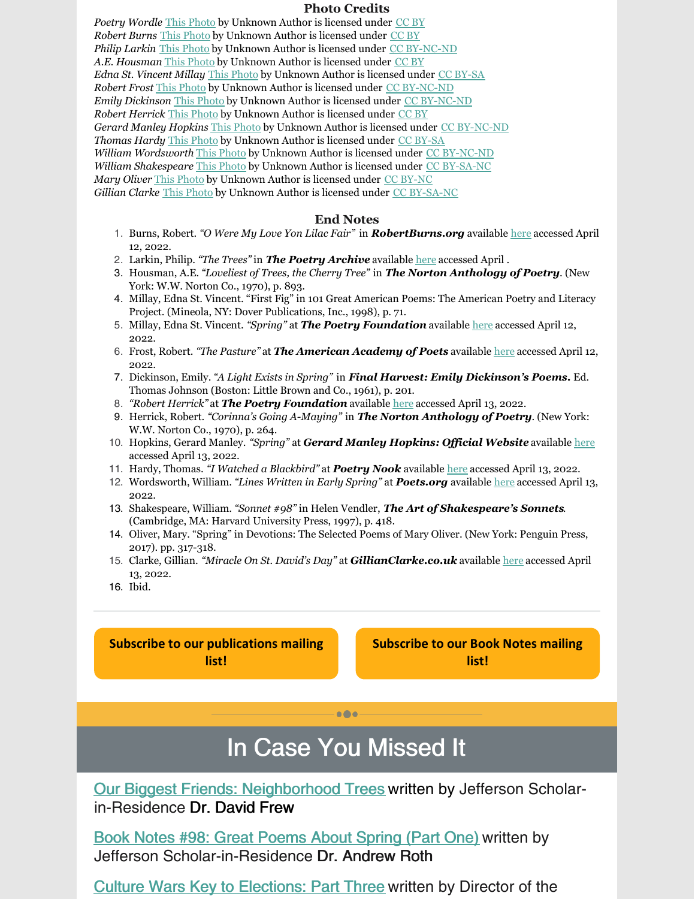#### **Photo Credits**

Poetry Wordle This [Photo](http://flickr.com/photos/woodleighschool/5534506514) by Unknown Author is licensed under [CC](https://creativecommons.org/licenses/by/3.0/) BY *Robert Burns* This [Photo](https://general-southerner.blogspot.com/2011/01/robert-burns-birthday.html) by Unknown Author is licensed under [CC](https://creativecommons.org/licenses/by/3.0/) BY *Philip Larkin* This [Photo](https://www.umbriaecultura.it/monumento-a-philip-larkin-nel-poets-corner-di-westminster/) by Unknown Author is licensed under CC [BY-NC-ND](https://creativecommons.org/licenses/by-nc-nd/3.0/) *A.E. Housman* This [Photo](https://jackbrummet.blogspot.com/2012/11/a-poem-by-ae-housman.html) by Unknown Author is licensed under [CC](https://creativecommons.org/licenses/by/3.0/) BY *Edna St. Vincent Millay* This [Photo](https://www.youthvoices.live/my-questions-about-what-lips-my-lips-have-kissed-by-edna-st-vincent-millay/) by Unknown Author is licensed under CC [BY-SA](https://creativecommons.org/licenses/by-sa/3.0/) *Robert Frost* This [Photo](https://musipoemas2.blogspot.com/2014/12/mis-poetas-favoritos-robert-frost.html) by Unknown Author is licensed under CC [BY-NC-ND](https://creativecommons.org/licenses/by-nc-nd/3.0/) *Emily Dickinson* This [Photo](http://mvl-monteverdelegge.blogspot.com/2013/11/emily-dickinson-tre-poesie-sullautunno.html) by Unknown Author is licensed under CC [BY-NC-ND](https://creativecommons.org/licenses/by-nc-nd/3.0/) *Robert Herrick* This [Photo](http://rbhardy3rd.blogspot.co.uk/2008_12_01_archive.html) by Unknown Author is licensed under [CC](https://creativecommons.org/licenses/by/3.0/) BY *Gerard Manley Hopkins* This [Photo](https://hemmingplay.com/2016/05/22/heaven-haven/) by Unknown Author is licensed under CC [BY-NC-ND](https://creativecommons.org/licenses/by-nc-nd/3.0/) *Thomas Hardy* This [Photo](https://hu.wikisource.org/wiki/Szerz%C5%91:Thomas_Hardy) by Unknown Author is licensed under CC [BY-SA](https://creativecommons.org/licenses/by-sa/3.0/) *William Wordsworth* This [Photo](http://grupolipo.blogspot.com/2013/06/leer-los-clasicos-es-mejor-para-tu.html) by Unknown Author is licensed under CC [BY-NC-ND](https://creativecommons.org/licenses/by-nc-nd/3.0/) *William Shakespeare* This [Photo](https://malarrassa.cat/171213-william-shakespeare-e1510691212877/) by Unknown Author is licensed under CC [BY-SA-NC](https://creativecommons.org/licenses/by-nc-sa/3.0/) *Mary Oliver* This [Photo](https://www.laprimerapiedra.com.ar/2017/11/mary-oliver-instrucciones-vivir-una-vida/) by Unknown Author is licensed under CC [BY-NC](https://creativecommons.org/licenses/by-nc/3.0/) *Gillian Clarke* This [Photo](http://poetryandpoetsinrags.blogspot.com/2012_05_01_archive.html) by Unknown Author is licensed under CC [BY-SA-NC](https://creativecommons.org/licenses/by-nc-sa/3.0/)

#### **End Notes**

- 1. Burns, Robert. *"O Were My Love Yon Lilac Fair"* in *RobertBurns.org* available [here](http://www.robertburns.org/works/416.shtml) accessed April 12, 2022.
- 2. Larkin, Philip. *"The Trees"* in *The Poetry Archive* available [here](https://poetryarchive.org/poem/trees/) accessed April .
- 3. Housman, A.E. *"Loveliest of Trees, the Cherry Tree"* in *The Norton Anthology of Poetry*. (New York: W.W. Norton Co., 1970), p. 893.
- 4. Millay, Edna St. Vincent. "First Fig" in 101 Great American Poems: The American Poetry and Literacy Project. (Mineola, NY: Dover Publications, Inc., 1998), p. 71.
- 5. Millay, Edna St. Vincent. *"Spring"* at *The Poetry Foundation* available [here](https://www.poetryfoundation.org/poems/44728/spring-56d223f01f86e) accessed April 12, 2022.
- 6. Frost, Robert. *"The Pasture"* at *The American Academy of Poets* available [here](https://poets.org/poem/pasture) accessed April 12, 2022.
- 7. Dickinson, Emily. *"A Light Exists in Spring"* in *Final Harvest: Emily Dickinson's Poems.* Ed. Thomas Johnson (Boston: Little Brown and Co., 1961), p. 201.
- 8. *"Robert Herrick"* at *The Poetry Foundation* available [here](https://www.poetryfoundation.org/poets/robert-herrick) accessed April 13, 2022.
- 9. Herrick, Robert. *"Corinna's Going A-Maying"* in *The Norton Anthology of Poetry*. (New York: W.W. Norton Co., 1970), p. 264.
- 10. Hopkins, Gerard Manley. *"Spring"* at *Gerard Manley Hopkins: Of icial Website* available [here](https://hopkinspoetry.com/poem/spring/) accessed April 13, 2022.
- 11. Hardy, Thomas. *"I Watched a Blackbird"* at *Poetry Nook* available [here](https://www.poetrynook.com/poem/i-watched-blackbird) accessed April 13, 2022.
- 12. Wordsworth, William. *"Lines Written in Early Spring"* at *Poets.org* available [here](https://poets.org/poem/lines-written-early-spring) accessed April 13, 2022.
- 13. Shakespeare, William. *"Sonnet #98"* in Helen Vendler, *The Art of Shakespeare's Sonnets*. (Cambridge, MA: Harvard University Press, 1997), p. 418.
- 14. Oliver, Mary. "Spring" in Devotions: The Selected Poems of Mary Oliver. (New York: Penguin Press, 2017). pp. 317-318.
- 15. Clarke, Gillian. *"Miracle On St. David's Day"* at *GillianClarke.co.uk* available [here](http://www.gillianclarke.co.uk/gc2017/miracle-on-st-davids-day/) accessed April 13, 2022.
- 16. Ibid.

**Subscribe to our [publications](https://lp.constantcontactpages.com/su/OYSOPRt/PublicationsSubscription?source_id=2226c252-9164-4721-b013-6388f25d9666&source_type=em&c=) mailing list!**

**[Subscribe](https://lp.constantcontactpages.com/su/TXbaxH2/BookNotesSubscription?source_id=2226c252-9164-4721-b013-6388f25d9666&source_type=em&c=) to our Book Notes mailing list!**

## In Case You Missed It

 $\bullet$   $\bullet$ 

Our Biggest Friends: [Neighborhood](https://conta.cc/3jXxUoE) Trees written by Jefferson Scholarin-Residence Dr. David Frew

Book Notes #98: Great [Poems](https://conta.cc/3jY9QSn) About Spring (Part One) written by Jefferson Scholar-in-Residence Dr. Andrew Roth

Culture Wars Key to [Elections:](https://conta.cc/3vOlbu2) Part Three written by Director of the